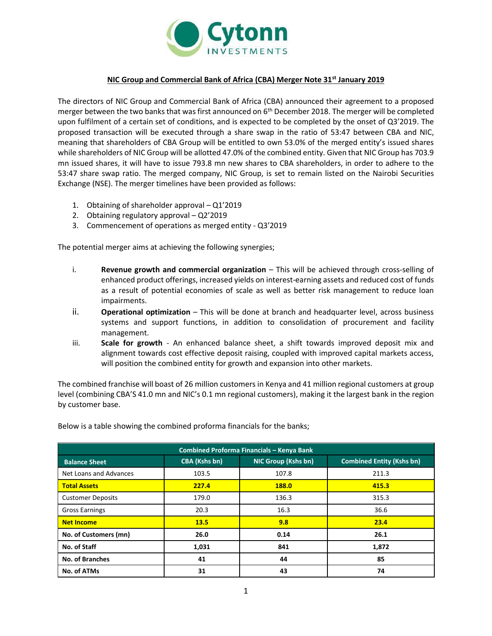

## **NIC Group and Commercial Bank of Africa (CBA) Merger Note 31st January 2019**

The directors of NIC Group and Commercial Bank of Africa (CBA) announced their agreement to a proposed merger between the two banks that was first announced on 6<sup>th</sup> December 2018. The merger will be completed upon fulfilment of a certain set of conditions, and is expected to be completed by the onset of Q3'2019. The proposed transaction will be executed through a share swap in the ratio of 53:47 between CBA and NIC, meaning that shareholders of CBA Group will be entitled to own 53.0% of the merged entity's issued shares while shareholders of NIC Group will be allotted 47.0% of the combined entity. Given that NIC Group has 703.9 mn issued shares, it will have to issue 793.8 mn new shares to CBA shareholders, in order to adhere to the 53:47 share swap ratio. The merged company, NIC Group, is set to remain listed on the Nairobi Securities Exchange (NSE). The merger timelines have been provided as follows:

- 1. Obtaining of shareholder approval Q1'2019
- 2. Obtaining regulatory approval Q2'2019
- 3. Commencement of operations as merged entity Q3'2019

The potential merger aims at achieving the following synergies;

- i. **Revenue growth and commercial organization** This will be achieved through cross-selling of enhanced product offerings, increased yields on interest-earning assets and reduced cost of funds as a result of potential economies of scale as well as better risk management to reduce loan impairments.
- ii. **Operational optimization** This will be done at branch and headquarter level, across business systems and support functions, in addition to consolidation of procurement and facility management.
- iii. **Scale for growth**  An enhanced balance sheet, a shift towards improved deposit mix and alignment towards cost effective deposit raising, coupled with improved capital markets access, will position the combined entity for growth and expansion into other markets.

The combined franchise will boast of 26 million customers in Kenya and 41 million regional customers at group level (combining CBA'S 41.0 mn and NIC's 0.1 mn regional customers), making it the largest bank in the region by customer base.

| Combined Proforma Financials - Kenya Bank |                      |                     |                                  |  |  |  |  |  |
|-------------------------------------------|----------------------|---------------------|----------------------------------|--|--|--|--|--|
| <b>Balance Sheet</b>                      | <b>CBA (Kshs bn)</b> | NIC Group (Kshs bn) | <b>Combined Entity (Kshs bn)</b> |  |  |  |  |  |
| Net Loans and Advances                    | 103.5                | 107.8               | 211.3                            |  |  |  |  |  |
| <b>Total Assets</b>                       | 227.4                | 188.0               | 415.3                            |  |  |  |  |  |
| <b>Customer Deposits</b>                  | 179.0                | 136.3               | 315.3                            |  |  |  |  |  |
| <b>Gross Earnings</b>                     | 20.3                 | 16.3                | 36.6                             |  |  |  |  |  |
| <b>Net Income</b>                         | <b>13.5</b>          | 9.8                 | 23.4                             |  |  |  |  |  |
| No. of Customers (mn)                     | 26.0                 | 0.14                | 26.1                             |  |  |  |  |  |
| No. of Staff                              | 1,031                | 841                 | 1,872                            |  |  |  |  |  |
| <b>No. of Branches</b>                    | 41                   | 44                  | 85                               |  |  |  |  |  |
| No. of ATMs                               | 31                   | 43                  | 74                               |  |  |  |  |  |

Below is a table showing the combined proforma financials for the banks;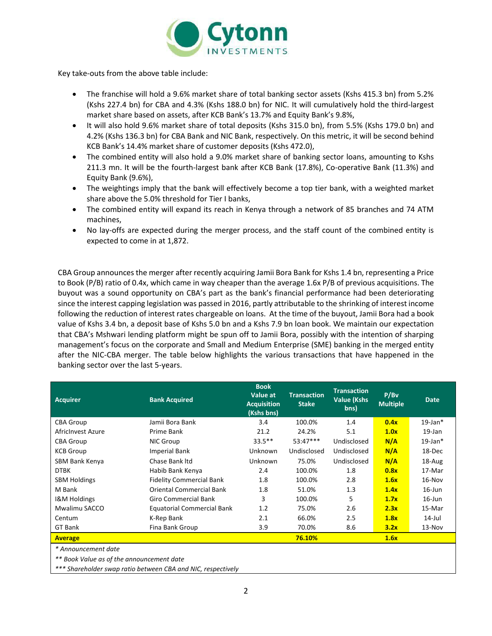

Key take-outs from the above table include:

- The franchise will hold a 9.6% market share of total banking sector assets (Kshs 415.3 bn) from 5.2% (Kshs 227.4 bn) for CBA and 4.3% (Kshs 188.0 bn) for NIC. It will cumulatively hold the third-largest market share based on assets, after KCB Bank's 13.7% and Equity Bank's 9.8%,
- It will also hold 9.6% market share of total deposits (Kshs 315.0 bn), from 5.5% (Kshs 179.0 bn) and 4.2% (Kshs 136.3 bn) for CBA Bank and NIC Bank, respectively. On this metric, it will be second behind KCB Bank's 14.4% market share of customer deposits (Kshs 472.0),
- The combined entity will also hold a 9.0% market share of banking sector loans, amounting to Kshs 211.3 mn. It will be the fourth-largest bank after KCB Bank (17.8%), Co-operative Bank (11.3%) and Equity Bank (9.6%),
- The weightings imply that the bank will effectively become a top tier bank, with a weighted market share above the 5.0% threshold for Tier I banks,
- The combined entity will expand its reach in Kenya through a network of 85 branches and 74 ATM machines,
- No lay-offs are expected during the merger process, and the staff count of the combined entity is expected to come in at 1,872.

CBA Group announces the merger after recently acquiring Jamii Bora Bank for Kshs 1.4 bn, representing a Price to Book (P/B) ratio of 0.4x, which came in way cheaper than the average 1.6x P/B of previous acquisitions. The buyout was a sound opportunity on CBA's part as the bank's financial performance had been deteriorating since the interest capping legislation was passed in 2016, partly attributable to the shrinking of interest income following the reduction of interest rates chargeable on loans. At the time of the buyout, Jamii Bora had a book value of Kshs 3.4 bn, a deposit base of Kshs 5.0 bn and a Kshs 7.9 bn loan book. We maintain our expectation that CBA's Mshwari lending platform might be spun off to Jamii Bora, possibly with the intention of sharping management's focus on the corporate and Small and Medium Enterprise (SME) banking in the merged entity after the NIC-CBA merger. The table below highlights the various transactions that have happened in the banking sector over the last 5-years.

| <b>Acquirer</b>         | <b>Bank Acquired</b>              | <b>Book</b><br>Value at<br><b>Acquisition</b><br>(Kshs bns) | <b>Transaction</b><br><b>Stake</b> | <b>Transaction</b><br><b>Value (Kshs)</b><br>bns) | P/Bv<br><b>Multiple</b> | <b>Date</b>   |
|-------------------------|-----------------------------------|-------------------------------------------------------------|------------------------------------|---------------------------------------------------|-------------------------|---------------|
| <b>CBA Group</b>        | Jamii Bora Bank                   | 3.4                                                         | 100.0%                             | 1.4                                               | 0.4x                    | $19$ -Jan $*$ |
| AfricInvest Azure       | Prime Bank                        | 21.2                                                        | 24.2%                              | 5.1                                               | 1.0x                    | $19$ -Jan     |
| <b>CBA Group</b>        | NIC Group                         | $33.5***$                                                   | $53:47***$                         | Undisclosed                                       | N/A                     | $19$ -Jan $*$ |
| <b>KCB Group</b>        | <b>Imperial Bank</b>              | <b>Unknown</b>                                              | Undisclosed                        | Undisclosed                                       | N/A                     | 18-Dec        |
| SBM Bank Kenya          | Chase Bank Itd                    | <b>Unknown</b>                                              | 75.0%                              | Undisclosed                                       | N/A                     | 18-Aug        |
| <b>DTBK</b>             | Habib Bank Kenya                  | 2.4                                                         | 100.0%                             | 1.8                                               | 0.8x                    | 17-Mar        |
| <b>SBM Holdings</b>     | <b>Fidelity Commercial Bank</b>   | 1.8                                                         | 100.0%                             | 2.8                                               | 1.6x                    | $16-Nov$      |
| M Bank                  | <b>Oriental Commercial Bank</b>   | 1.8                                                         | 51.0%                              | 1.3                                               | 1.4x                    | $16$ -Jun     |
| <b>I&amp;M Holdings</b> | <b>Giro Commercial Bank</b>       | 3                                                           | 100.0%                             | 5                                                 | 1.7x                    | $16$ -Jun     |
| Mwalimu SACCO           | <b>Equatorial Commercial Bank</b> | 1.2                                                         | 75.0%                              | 2.6                                               | 2.3x                    | 15-Mar        |
| Centum                  | K-Rep Bank                        | 2.1                                                         | 66.0%                              | 2.5                                               | 1.8x                    | $14$ -Jul     |
| GT Bank                 | Fina Bank Group                   | 3.9                                                         | 70.0%                              | 8.6                                               | 3.2x                    | $13-Nov$      |
| <b>Average</b>          |                                   |                                                             | 76.10%                             |                                                   | 1.6x                    |               |

*\* Announcement date*

*\*\* Book Value as of the announcement date*

*\*\*\* Shareholder swap ratio between CBA and NIC, respectively*